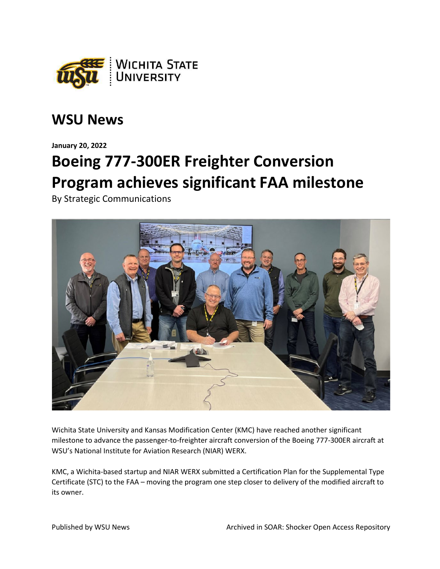

## **WSU News**

**January 20, 2022**

## **Boeing 777-300ER Freighter Conversion Program achieves significant FAA milestone**

By Strategic Communications



Wichita State University and Kansas Modification Center (KMC) have reached another significant milestone to advance the passenger-to-freighter aircraft conversion of the Boeing 777-300ER aircraft at WSU's National Institute for Aviation Research (NIAR) WERX.

KMC, a Wichita-based startup and NIAR WERX submitted a Certification Plan for the Supplemental Type Certificate (STC) to the FAA – moving the program one step closer to delivery of the modified aircraft to its owner.